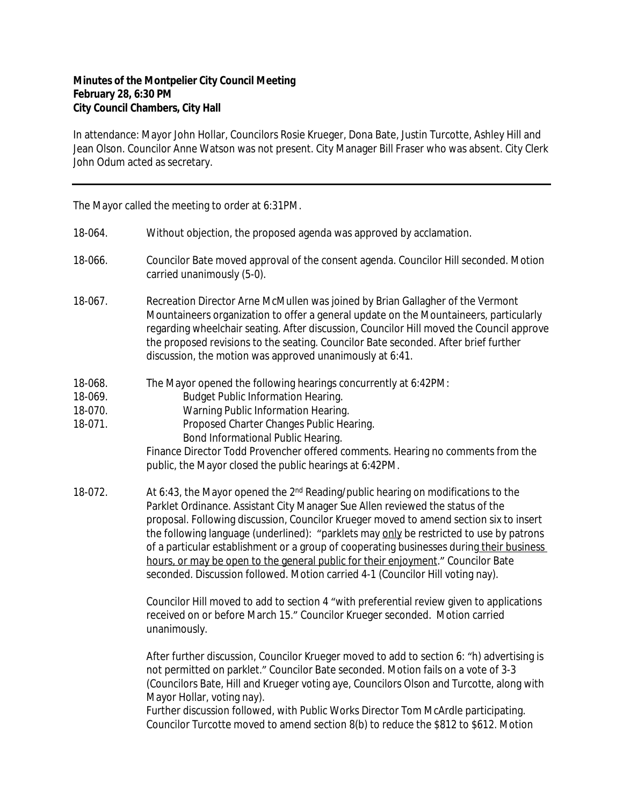## **Minutes of the Montpelier City Council Meeting February 28, 6:30 PM City Council Chambers, City Hall**

In attendance: Mayor John Hollar, Councilors Rosie Krueger, Dona Bate, Justin Turcotte, Ashley Hill and Jean Olson. Councilor Anne Watson was not present. City Manager Bill Fraser who was absent. City Clerk John Odum acted as secretary.

The Mayor called the meeting to order at 6:31PM.

- 18-064. Without objection, the proposed agenda was approved by acclamation.
- 18-066. Councilor Bate moved approval of the consent agenda. Councilor Hill seconded. Motion carried unanimously (5-0).
- 18-067. Recreation Director Arne McMullen was joined by Brian Gallagher of the Vermont Mountaineers organization to offer a general update on the Mountaineers, particularly regarding wheelchair seating. After discussion, Councilor Hill moved the Council approve the proposed revisions to the seating. Councilor Bate seconded. After brief further discussion, the motion was approved unanimously at 6:41.
- 18-068. The Mayor opened the following hearings concurrently at 6:42PM:
- 18-069. Budget Public Information Hearing.
- 18-070. Warning Public Information Hearing.
- 18-071. Proposed Charter Changes Public Hearing. Bond Informational Public Hearing.

Finance Director Todd Provencher offered comments. Hearing no comments from the public, the Mayor closed the public hearings at 6:42PM.

18-072. At 6:43, the Mayor opened the 2<sup>nd</sup> Reading/public hearing on modifications to the Parklet Ordinance. Assistant City Manager Sue Allen reviewed the status of the proposal. Following discussion, Councilor Krueger moved to amend section six to insert the following language (underlined): "parklets may only be restricted to use by patrons of a particular establishment or a group of cooperating businesses during their business hours, or may be open to the general public for their enjoyment." Councilor Bate seconded. Discussion followed. Motion carried 4-1 (Councilor Hill voting nay).

> Councilor Hill moved to add to section 4 "with preferential review given to applications received on or before March 15." Councilor Krueger seconded. Motion carried unanimously.

> After further discussion, Councilor Krueger moved to add to section 6: "h) advertising is not permitted on parklet." Councilor Bate seconded. Motion fails on a vote of 3-3 (Councilors Bate, Hill and Krueger voting aye, Councilors Olson and Turcotte, along with Mayor Hollar, voting nay).

Further discussion followed, with Public Works Director Tom McArdle participating. Councilor Turcotte moved to amend section 8(b) to reduce the \$812 to \$612. Motion